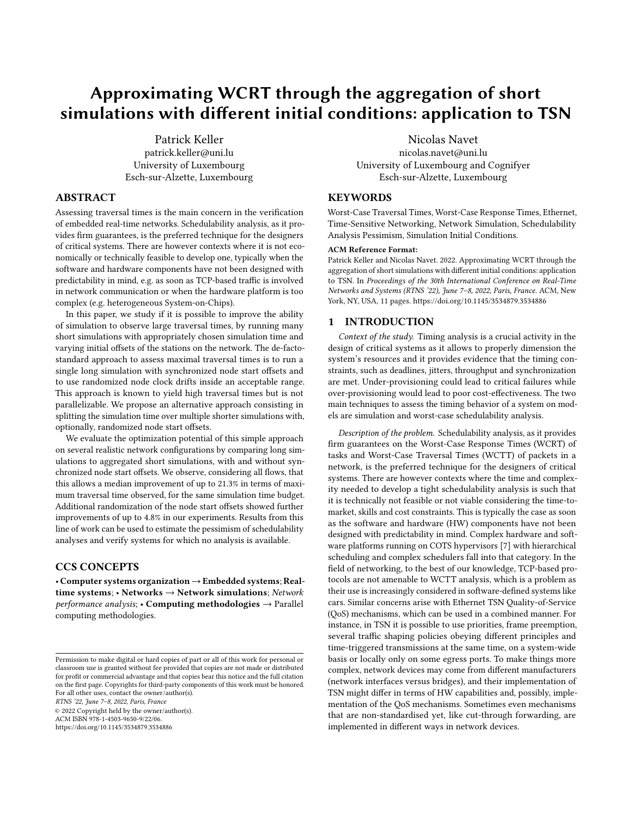# Approximating WCRT through the aggregation of short simulations with different initial conditions: application to TSN

Patrick Keller patrick.keller@uni.lu University of Luxembourg Esch-sur-Alzette, Luxembourg

## ABSTRACT

Assessing traversal times is the main concern in the verification of embedded real-time networks. Schedulability analysis, as it provides firm guarantees, is the preferred technique for the designers of critical systems. There are however contexts where it is not economically or technically feasible to develop one, typically when the software and hardware components have not been designed with predictability in mind, e.g. as soon as TCP-based traffic is involved in network communication or when the hardware platform is too complex (e.g. heterogeneous System-on-Chips).

In this paper, we study if it is possible to improve the ability of simulation to observe large traversal times, by running many short simulations with appropriately chosen simulation time and varying initial offsets of the stations on the network. The de-factostandard approach to assess maximal traversal times is to run a single long simulation with synchronized node start offsets and to use randomized node clock drifts inside an acceptable range. This approach is known to yield high traversal times but is not parallelizable. We propose an alternative approach consisting in splitting the simulation time over multiple shorter simulations with, optionally, randomized node start offsets.

We evaluate the optimization potential of this simple approach on several realistic network configurations by comparing long simulations to aggregated short simulations, with and without synchronized node start offsets. We observe, considering all flows, that this allows a median improvement of up to 21.3% in terms of maximum traversal time observed, for the same simulation time budget. Additional randomization of the node start offsets showed further improvements of up to 4.8% in our experiments. Results from this line of work can be used to estimate the pessimism of schedulability analyses and verify systems for which no analysis is available.

## CCS CONCEPTS

• Computer systems organization →Embedded systems; Realtime systems; • Networks  $\rightarrow$  Network simulations; Network  $performance$  analysis; • Computing methodologies  $\rightarrow$  Parallel computing methodologies.

RTNS '22, June 7–8, 2022, Paris, France

© 2022 Copyright held by the owner/author(s). ACM ISBN 978-1-4503-9650-9/22/06. <https://doi.org/10.1145/3534879.3534886>

Nicolas Navet nicolas.navet@uni.lu University of Luxembourg and Cognifyer Esch-sur-Alzette, Luxembourg

## **KEYWORDS**

Worst-Case Traversal Times, Worst-Case Response Times, Ethernet, Time-Sensitive Networking, Network Simulation, Schedulability Analysis Pessimism, Simulation Initial Conditions.

## ACM Reference Format:

Patrick Keller and Nicolas Navet. 2022. Approximating WCRT through the aggregation of short simulations with different initial conditions: application to TSN. In Proceedings of the 30th International Conference on Real-Time Networks and Systems (RTNS '22), June 7–8, 2022, Paris, France. ACM, New York, NY, USA, [11](#page-10-0) pages.<https://doi.org/10.1145/3534879.3534886>

## <span id="page-0-0"></span>1 INTRODUCTION

Context of the study. Timing analysis is a crucial activity in the design of critical systems as it allows to properly dimension the system's resources and it provides evidence that the timing constraints, such as deadlines, jitters, throughput and synchronization are met. Under-provisioning could lead to critical failures while over-provisioning would lead to poor cost-effectiveness. The two main techniques to assess the timing behavior of a system on models are simulation and worst-case schedulability analysis.

Description of the problem. Schedulability analysis, as it provides firm guarantees on the Worst-Case Response Times (WCRT) of tasks and Worst-Case Traversal Times (WCTT) of packets in a network, is the preferred technique for the designers of critical systems. There are however contexts where the time and complexity needed to develop a tight schedulability analysis is such that it is technically not feasible or not viable considering the time-tomarket, skills and cost constraints. This is typically the case as soon as the software and hardware (HW) components have not been designed with predictability in mind. Complex hardware and software platforms running on COTS hypervisors [\[7\]](#page-9-0) with hierarchical scheduling and complex schedulers fall into that category. In the field of networking, to the best of our knowledge, TCP-based protocols are not amenable to WCTT analysis, which is a problem as their use is increasingly considered in software-defined systems like cars. Similar concerns arise with Ethernet TSN Quality-of-Service (QoS) mechanisms, which can be used in a combined manner. For instance, in TSN it is possible to use priorities, frame preemption, several traffic shaping policies obeying different principles and time-triggered transmissions at the same time, on a system-wide basis or locally only on some egress ports. To make things more complex, network devices may come from different manufacturers (network interfaces versus bridges), and their implementation of TSN might differ in terms of HW capabilities and, possibly, implementation of the QoS mechanisms. Sometimes even mechanisms that are non-standardised yet, like cut-through forwarding, are implemented in different ways in network devices.

Permission to make digital or hard copies of part or all of this work for personal or classroom use is granted without fee provided that copies are not made or distributed for profit or commercial advantage and that copies bear this notice and the full citation on the first page. Copyrights for third-party components of this work must be honored. For all other uses, contact the owner/author(s).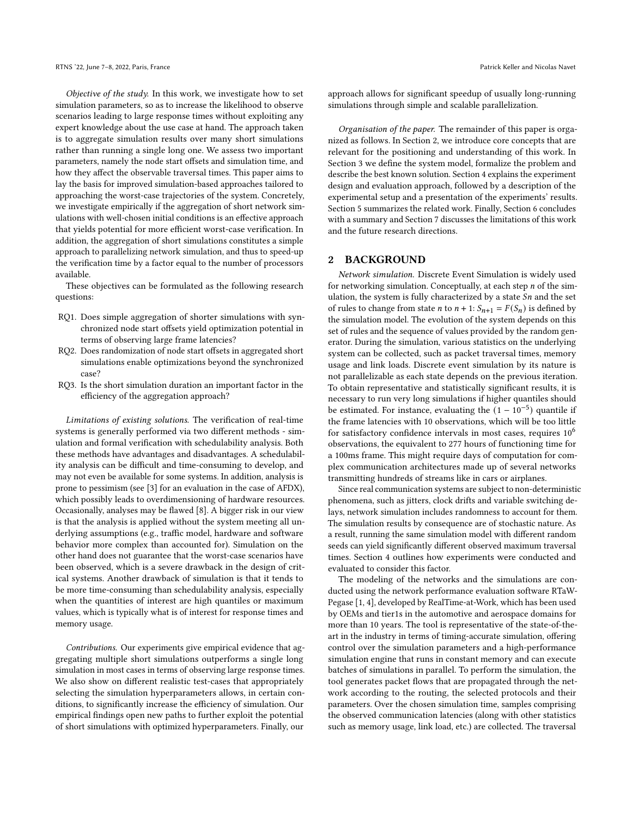Objective of the study. In this work, we investigate how to set simulation parameters, so as to increase the likelihood to observe scenarios leading to large response times without exploiting any expert knowledge about the use case at hand. The approach taken is to aggregate simulation results over many short simulations rather than running a single long one. We assess two important parameters, namely the node start offsets and simulation time, and how they affect the observable traversal times. This paper aims to lay the basis for improved simulation-based approaches tailored to approaching the worst-case trajectories of the system. Concretely, we investigate empirically if the aggregation of short network simulations with well-chosen initial conditions is an effective approach that yields potential for more efficient worst-case verification. In addition, the aggregation of short simulations constitutes a simple approach to parallelizing network simulation, and thus to speed-up the verification time by a factor equal to the number of processors available.

These objectives can be formulated as the following research questions:

- RQ1. Does simple aggregation of shorter simulations with synchronized node start offsets yield optimization potential in terms of observing large frame latencies?
- RQ2. Does randomization of node start offsets in aggregated short simulations enable optimizations beyond the synchronized case?
- RQ3. Is the short simulation duration an important factor in the efficiency of the aggregation approach?

Limitations of existing solutions. The verification of real-time systems is generally performed via two different methods - simulation and formal verification with schedulability analysis. Both these methods have advantages and disadvantages. A schedulability analysis can be difficult and time-consuming to develop, and may not even be available for some systems. In addition, analysis is prone to pessimism (see [\[3\]](#page-9-1) for an evaluation in the case of AFDX), which possibly leads to overdimensioning of hardware resources. Occasionally, analyses may be flawed [\[8\]](#page-9-2). A bigger risk in our view is that the analysis is applied without the system meeting all underlying assumptions (e.g., traffic model, hardware and software behavior more complex than accounted for). Simulation on the other hand does not guarantee that the worst-case scenarios have been observed, which is a severe drawback in the design of critical systems. Another drawback of simulation is that it tends to be more time-consuming than schedulability analysis, especially when the quantities of interest are high quantiles or maximum values, which is typically what is of interest for response times and memory usage.

Contributions. Our experiments give empirical evidence that aggregating multiple short simulations outperforms a single long simulation in most cases in terms of observing large response times. We also show on different realistic test-cases that appropriately selecting the simulation hyperparameters allows, in certain conditions, to significantly increase the efficiency of simulation. Our empirical findings open new paths to further exploit the potential of short simulations with optimized hyperparameters. Finally, our

approach allows for significant speedup of usually long-running simulations through simple and scalable parallelization.

Organisation of the paper. The remainder of this paper is organized as follows. In Section [2,](#page-1-0) we introduce core concepts that are relevant for the positioning and understanding of this work. In Section [3](#page-2-0) we define the system model, formalize the problem and describe the best known solution. Section [4](#page-2-1) explains the experiment design and evaluation approach, followed by a description of the experimental setup and a presentation of the experiments' results. Section [5](#page-7-0) summarizes the related work. Finally, Section [6](#page-8-0) concludes with a summary and Section [7](#page-8-1) discusses the limitations of this work and the future research directions.

## <span id="page-1-0"></span>2 BACKGROUND

Network simulation. Discrete Event Simulation is widely used for networking simulation. Conceptually, at each step  $n$  of the simulation, the system is fully characterized by a state  $Sn$  and the set of rules to change from state *n* to  $n + 1$ :  $S_{n+1} = F(S_n)$  is defined by the simulation model. The evolution of the system depends on this set of rules and the sequence of values provided by the random generator. During the simulation, various statistics on the underlying system can be collected, such as packet traversal times, memory usage and link loads. Discrete event simulation by its nature is not parallelizable as each state depends on the previous iteration. To obtain representative and statistically significant results, it is necessary to run very long simulations if higher quantiles should be estimated. For instance, evaluating the  $(1 - 10^{-5})$  quantile if the frame latencies with 10 observations, which will be too little for satisfactory confidence intervals in most cases, requires 10<sup>6</sup> observations, the equivalent to 277 hours of functioning time for a 100ms frame. This might require days of computation for complex communication architectures made up of several networks transmitting hundreds of streams like in cars or airplanes.

Since real communication systems are subject to non-deterministic phenomena, such as jitters, clock drifts and variable switching delays, network simulation includes randomness to account for them. The simulation results by consequence are of stochastic nature. As a result, running the same simulation model with different random seeds can yield significantly different observed maximum traversal times. Section [4](#page-2-1) outlines how experiments were conducted and evaluated to consider this factor.

The modeling of the networks and the simulations are conducted using the network performance evaluation software RTaW-Pegase [\[1,](#page-9-3) [4\]](#page-9-4), developed by RealTime-at-Work, which has been used by OEMs and tier1s in the automotive and aerospace domains for more than 10 years. The tool is representative of the state-of-theart in the industry in terms of timing-accurate simulation, offering control over the simulation parameters and a high-performance simulation engine that runs in constant memory and can execute batches of simulations in parallel. To perform the simulation, the tool generates packet flows that are propagated through the network according to the routing, the selected protocols and their parameters. Over the chosen simulation time, samples comprising the observed communication latencies (along with other statistics such as memory usage, link load, etc.) are collected. The traversal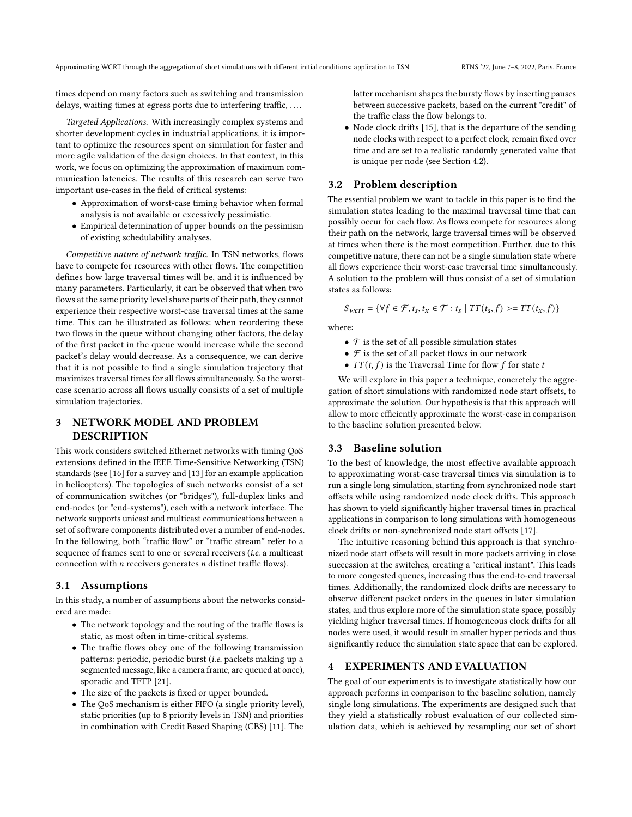times depend on many factors such as switching and transmission delays, waiting times at egress ports due to interfering traffic, ....

Targeted Applications. With increasingly complex systems and shorter development cycles in industrial applications, it is important to optimize the resources spent on simulation for faster and more agile validation of the design choices. In that context, in this work, we focus on optimizing the approximation of maximum communication latencies. The results of this research can serve two important use-cases in the field of critical systems:

- Approximation of worst-case timing behavior when formal analysis is not available or excessively pessimistic.
- Empirical determination of upper bounds on the pessimism of existing schedulability analyses.

Competitive nature of network traffic. In TSN networks, flows have to compete for resources with other flows. The competition defines how large traversal times will be, and it is influenced by many parameters. Particularly, it can be observed that when two flows at the same priority level share parts of their path, they cannot experience their respective worst-case traversal times at the same time. This can be illustrated as follows: when reordering these two flows in the queue without changing other factors, the delay of the first packet in the queue would increase while the second packet's delay would decrease. As a consequence, we can derive that it is not possible to find a single simulation trajectory that maximizes traversal times for all flows simultaneously. So the worstcase scenario across all flows usually consists of a set of multiple simulation trajectories.

## <span id="page-2-0"></span>3 NETWORK MODEL AND PROBLEM DESCRIPTION

This work considers switched Ethernet networks with timing QoS extensions defined in the IEEE Time-Sensitive Networking (TSN) standards (see [\[16\]](#page-10-1) for a survey and [\[13\]](#page-10-2) for an example application in helicopters). The topologies of such networks consist of a set of communication switches (or "bridges"), full-duplex links and end-nodes (or "end-systems"), each with a network interface. The network supports unicast and multicast communications between a set of software components distributed over a number of end-nodes. In the following, both "traffic flow" or "traffic stream" refer to a sequence of frames sent to one or several receivers (i.e. a multicast connection with  $n$  receivers generates  $n$  distinct traffic flows).

#### 3.1 Assumptions

In this study, a number of assumptions about the networks considered are made:

- The network topology and the routing of the traffic flows is static, as most often in time-critical systems.
- The traffic flows obey one of the following transmission patterns: periodic, periodic burst (i.e. packets making up a segmented message, like a camera frame, are queued at once), sporadic and TFTP [\[21\]](#page-10-3).
- The size of the packets is fixed or upper bounded.
- The QoS mechanism is either FIFO (a single priority level), static priorities (up to 8 priority levels in TSN) and priorities in combination with Credit Based Shaping (CBS) [\[11\]](#page-10-4). The

latter mechanism shapes the bursty flows by inserting pauses between successive packets, based on the current "credit" of the traffic class the flow belongs to.

• Node clock drifts [\[15\]](#page-10-5), that is the departure of the sending node clocks with respect to a perfect clock, remain fixed over time and are set to a realistic randomly generated value that is unique per node (see Section [4.2\)](#page-4-0).

#### 3.2 Problem description

The essential problem we want to tackle in this paper is to find the simulation states leading to the maximal traversal time that can possibly occur for each flow. As flows compete for resources along their path on the network, large traversal times will be observed at times when there is the most competition. Further, due to this competitive nature, there can not be a single simulation state where all flows experience their worst-case traversal time simultaneously. A solution to the problem will thus consist of a set of simulation states as follows:

$$
S_{wctt} = \{ \forall f \in \mathcal{F}, t_s, t_x \in \mathcal{T} : t_s | TT(t_s, f) \geq TT(t_x, f) \}
$$

where:

- $\bullet$   $\cal{T}$  is the set of all possible simulation states
- $\mathcal F$  is the set of all packet flows in our network
- $TT(t, f)$  is the Traversal Time for flow f for state t

We will explore in this paper a technique, concretely the aggregation of short simulations with randomized node start offsets, to approximate the solution. Our hypothesis is that this approach will allow to more efficiently approximate the worst-case in comparison to the baseline solution presented below.

#### 3.3 Baseline solution

To the best of knowledge, the most effective available approach to approximating worst-case traversal times via simulation is to run a single long simulation, starting from synchronized node start offsets while using randomized node clock drifts. This approach has shown to yield significantly higher traversal times in practical applications in comparison to long simulations with homogeneous clock drifts or non-synchronized node start offsets [\[17\]](#page-10-6).

The intuitive reasoning behind this approach is that synchronized node start offsets will result in more packets arriving in close succession at the switches, creating a "critical instant". This leads to more congested queues, increasing thus the end-to-end traversal times. Additionally, the randomized clock drifts are necessary to observe different packet orders in the queues in later simulation states, and thus explore more of the simulation state space, possibly yielding higher traversal times. If homogeneous clock drifts for all nodes were used, it would result in smaller hyper periods and thus significantly reduce the simulation state space that can be explored.

#### <span id="page-2-1"></span>4 EXPERIMENTS AND EVALUATION

The goal of our experiments is to investigate statistically how our approach performs in comparison to the baseline solution, namely single long simulations. The experiments are designed such that they yield a statistically robust evaluation of our collected simulation data, which is achieved by resampling our set of short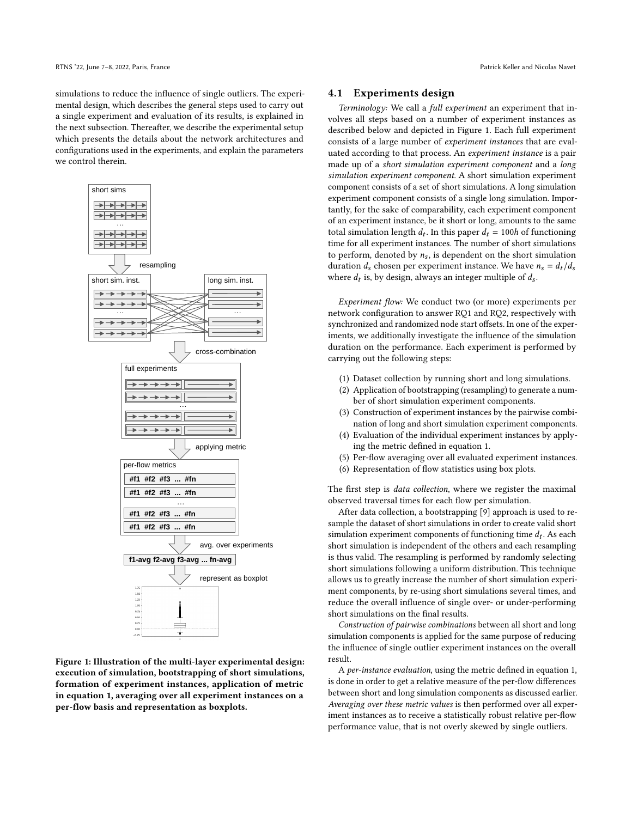simulations to reduce the influence of single outliers. The experimental design, which describes the general steps used to carry out a single experiment and evaluation of its results, is explained in the next subsection. Thereafter, we describe the experimental setup which presents the details about the network architectures and configurations used in the experiments, and explain the parameters we control therein.

<span id="page-3-0"></span>

Figure 1: Illustration of the multi-layer experimental design: execution of simulation, bootstrapping of short simulations, formation of experiment instances, application of metric in equation [1,](#page-4-1) averaging over all experiment instances on a per-flow basis and representation as boxplots.

## <span id="page-3-1"></span>4.1 Experiments design

Terminology: We call a full experiment an experiment that involves all steps based on a number of experiment instances as described below and depicted in Figure [1.](#page-3-0) Each full experiment consists of a large number of experiment instances that are evaluated according to that process. An experiment instance is a pair made up of a short simulation experiment component and a long simulation experiment component. A short simulation experiment component consists of a set of short simulations. A long simulation experiment component consists of a single long simulation. Importantly, for the sake of comparability, each experiment component of an experiment instance, be it short or long, amounts to the same total simulation length  $d_t$ . In this paper  $d_t = 100h$  of functioning time for all experiment instances. The number of short simulations to perform, denoted by  $n<sub>s</sub>$ , is dependent on the short simulation duration  $d_s$  chosen per experiment instance. We have  $n_s = d_t/d_s$ where  $d_t$  is, by design, always an integer multiple of  $d_s$ .

Experiment flow: We conduct two (or more) experiments per network configuration to answer RQ1 and RQ2, respectively with synchronized and randomized node start offsets. In one of the experiments, we additionally investigate the influence of the simulation duration on the performance. Each experiment is performed by carrying out the following steps:

- (1) Dataset collection by running short and long simulations.
- (2) Application of bootstrapping (resampling) to generate a number of short simulation experiment components.
- (3) Construction of experiment instances by the pairwise combination of long and short simulation experiment components.
- (4) Evaluation of the individual experiment instances by applying the metric defined in equation [1.](#page-4-1)
- (5) Per-flow averaging over all evaluated experiment instances.
- (6) Representation of flow statistics using box plots.

The first step is data collection, where we register the maximal observed traversal times for each flow per simulation.

After data collection, a bootstrapping [\[9\]](#page-10-7) approach is used to resample the dataset of short simulations in order to create valid short simulation experiment components of functioning time  $d_t$ . As each short simulation is independent of the others and each resampling is thus valid. The resampling is performed by randomly selecting short simulations following a uniform distribution. This technique allows us to greatly increase the number of short simulation experiment components, by re-using short simulations several times, and reduce the overall influence of single over- or under-performing short simulations on the final results.

Construction of pairwise combinations between all short and long simulation components is applied for the same purpose of reducing the influence of single outlier experiment instances on the overall result.

A per-instance evaluation, using the metric defined in equation [1,](#page-4-1) is done in order to get a relative measure of the per-flow differences between short and long simulation components as discussed earlier. Averaging over these metric values is then performed over all experiment instances as to receive a statistically robust relative per-flow performance value, that is not overly skewed by single outliers.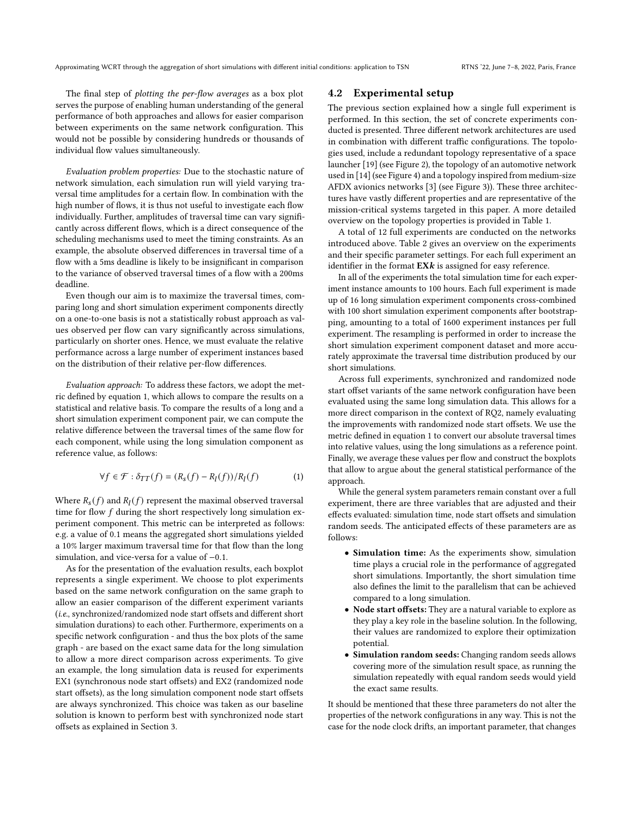The final step of plotting the per-flow averages as a box plot serves the purpose of enabling human understanding of the general performance of both approaches and allows for easier comparison between experiments on the same network configuration. This would not be possible by considering hundreds or thousands of individual flow values simultaneously.

Evaluation problem properties: Due to the stochastic nature of network simulation, each simulation run will yield varying traversal time amplitudes for a certain flow. In combination with the high number of flows, it is thus not useful to investigate each flow individually. Further, amplitudes of traversal time can vary significantly across different flows, which is a direct consequence of the scheduling mechanisms used to meet the timing constraints. As an example, the absolute observed differences in traversal time of a flow with a 5ms deadline is likely to be insignificant in comparison to the variance of observed traversal times of a flow with a 200ms deadline.

Even though our aim is to maximize the traversal times, comparing long and short simulation experiment components directly on a one-to-one basis is not a statistically robust approach as values observed per flow can vary significantly across simulations, particularly on shorter ones. Hence, we must evaluate the relative performance across a large number of experiment instances based on the distribution of their relative per-flow differences.

Evaluation approach: To address these factors, we adopt the metric defined by equation [1,](#page-4-1) which allows to compare the results on a statistical and relative basis. To compare the results of a long and a short simulation experiment component pair, we can compute the relative difference between the traversal times of the same flow for each component, while using the long simulation component as reference value, as follows:

<span id="page-4-1"></span>
$$
\forall f \in \mathcal{F} : \delta_{TT}(f) = (R_s(f) - R_l(f))/R_l(f) \tag{1}
$$

Where  $R_s(f)$  and  $R_l(f)$  represent the maximal observed traversal time for flow  $f$  during the short respectively long simulation experiment component. This metric can be interpreted as follows: e.g. a value of 0.1 means the aggregated short simulations yielded a 10% larger maximum traversal time for that flow than the long simulation, and vice-versa for a value of −0.1.

As for the presentation of the evaluation results, each boxplot represents a single experiment. We choose to plot experiments based on the same network configuration on the same graph to allow an easier comparison of the different experiment variants (i.e., synchronized/randomized node start offsets and different short simulation durations) to each other. Furthermore, experiments on a specific network configuration - and thus the box plots of the same graph - are based on the exact same data for the long simulation to allow a more direct comparison across experiments. To give an example, the long simulation data is reused for experiments EX1 (synchronous node start offsets) and EX2 (randomized node start offsets), as the long simulation component node start offsets are always synchronized. This choice was taken as our baseline solution is known to perform best with synchronized node start offsets as explained in Section [3.](#page-2-0)

#### <span id="page-4-0"></span>4.2 Experimental setup

The previous section explained how a single full experiment is performed. In this section, the set of concrete experiments conducted is presented. Three different network architectures are used in combination with different traffic configurations. The topologies used, include a redundant topology representative of a space launcher [\[19\]](#page-10-8) (see Figure [2\)](#page-5-0), the topology of an automotive network used in [\[14\]](#page-10-9) (see Figure [4\)](#page-6-0) and a topology inspired from medium-size AFDX avionics networks [\[3\]](#page-9-1) (see Figure [3\)](#page-6-1)). These three architectures have vastly different properties and are representative of the mission-critical systems targeted in this paper. A more detailed overview on the topology properties is provided in Table [1.](#page-5-1)

A total of 12 full experiments are conducted on the networks introduced above. Table [2](#page-5-2) gives an overview on the experiments and their specific parameter settings. For each full experiment an identifier in the format  $EXk$  is assigned for easy reference.

In all of the experiments the total simulation time for each experiment instance amounts to 100 hours. Each full experiment is made up of 16 long simulation experiment components cross-combined with 100 short simulation experiment components after bootstrapping, amounting to a total of 1600 experiment instances per full experiment. The resampling is performed in order to increase the short simulation experiment component dataset and more accurately approximate the traversal time distribution produced by our short simulations.

Across full experiments, synchronized and randomized node start offset variants of the same network configuration have been evaluated using the same long simulation data. This allows for a more direct comparison in the context of RQ2, namely evaluating the improvements with randomized node start offsets. We use the metric defined in equation [1](#page-4-1) to convert our absolute traversal times into relative values, using the long simulations as a reference point. Finally, we average these values per flow and construct the boxplots that allow to argue about the general statistical performance of the approach.

While the general system parameters remain constant over a full experiment, there are three variables that are adjusted and their effects evaluated: simulation time, node start offsets and simulation random seeds. The anticipated effects of these parameters are as follows:

- Simulation time: As the experiments show, simulation time plays a crucial role in the performance of aggregated short simulations. Importantly, the short simulation time also defines the limit to the parallelism that can be achieved compared to a long simulation.
- Node start offsets: They are a natural variable to explore as they play a key role in the baseline solution. In the following, their values are randomized to explore their optimization potential.
- Simulation random seeds: Changing random seeds allows covering more of the simulation result space, as running the simulation repeatedly with equal random seeds would yield the exact same results.

It should be mentioned that these three parameters do not alter the properties of the network configurations in any way. This is not the case for the node clock drifts, an important parameter, that changes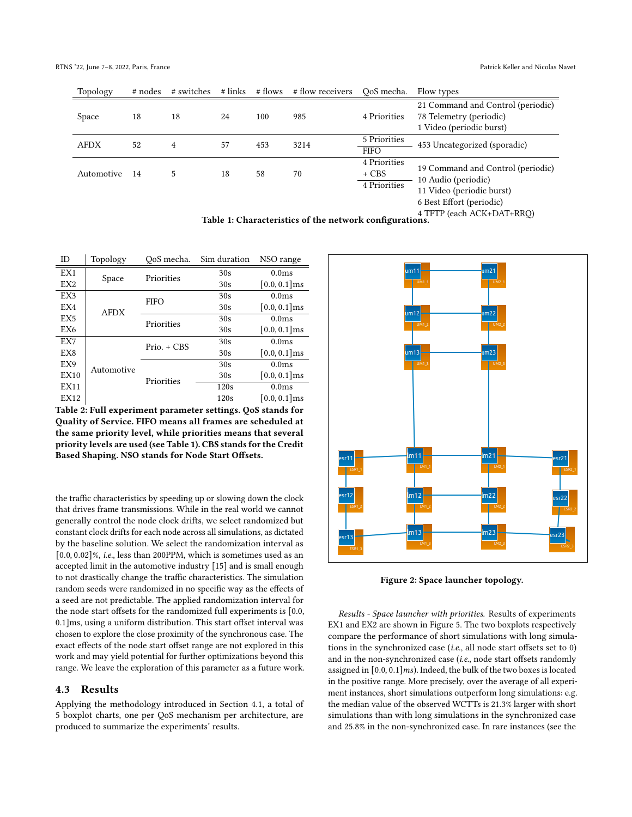<span id="page-5-1"></span>

| Topology    | # nodes | # switches | # links | # flows | # flow receivers | OoS mecha.                            | Flow types                                                                                                                                                                                                                                            |
|-------------|---------|------------|---------|---------|------------------|---------------------------------------|-------------------------------------------------------------------------------------------------------------------------------------------------------------------------------------------------------------------------------------------------------|
| Space       | 18      | 18         | 24      | 100     | 985              | 4 Priorities                          | 21 Command and Control (periodic)<br>78 Telemetry (periodic)<br>1 Video (periodic burst)                                                                                                                                                              |
| <b>AFDX</b> | 52      | 4          | 57      | 453     | 3214             | 5 Priorities<br><b>FIFO</b>           | 453 Uncategorized (sporadic)                                                                                                                                                                                                                          |
| Automotive  | -14     | 5          | 18      | 58      | 70               | 4 Priorities<br>+ CBS<br>4 Priorities | 19 Command and Control (periodic)<br>10 Audio (periodic)<br>11 Video (periodic burst)<br>6 Best Effort (periodic)<br>$\Lambda$ TETD $(a, b, \Lambda)$ $\Lambda$ $\Gamma$ , $\Gamma$ $\Lambda$ $\Gamma$ , $\Gamma$ $\Gamma$ $\Gamma$ $\Gamma$ $\Gamma$ |

4 TFTP (each ACK+DAT+RRQ) Table 1: Characteristics of the network configurations.

<span id="page-5-2"></span>

| ID              | Topology    | OoS mecha.     | Sim duration | NSO range         |
|-----------------|-------------|----------------|--------------|-------------------|
| EX1             |             | Priorities     | 30s          | 0.0 <sub>ms</sub> |
| EX <sub>2</sub> | Space       |                | 30s          | $[0.0, 0.1]$ ms   |
| EX3             |             | <b>FIFO</b>    | 30s          | 0.0 <sub>ms</sub> |
| EX4             | <b>AFDX</b> |                | 30s          | $[0.0, 0.1]$ ms   |
| EX <sub>5</sub> |             | Priorities     | 30s          | 0.0 <sub>ms</sub> |
| EX6             |             |                | 30s          | $[0.0, 0.1]$ ms   |
| EX7             |             | $Prior. + CBS$ | 30s          | 0.0 <sub>ms</sub> |
| EX8             |             |                | 30s          | $[0.0, 0.1]$ ms   |
| EX9             | Automotive  |                | 30s          | 0.0 <sub>ms</sub> |
| <b>EX10</b>     |             | Priorities     | 30s          | $[0.0, 0.1]$ ms   |
| <b>EX11</b>     |             |                | 120s         | 0.0 <sub>ms</sub> |
| EX12            |             |                | 120s         | $[0.0, 0.1]$ ms   |

Table 2: Full experiment parameter settings. QoS stands for Quality of Service. FIFO means all frames are scheduled at the same priority level, while priorities means that several priority levels are used (see Table [1\)](#page-5-1). CBS stands for the Credit Based Shaping. NSO stands for Node Start Offsets.

the traffic characteristics by speeding up or slowing down the clock that drives frame transmissions. While in the real world we cannot generally control the node clock drifts, we select randomized but constant clock drifts for each node across all simulations, as dictated by the baseline solution. We select the randomization interval as [0.0, 0.02]%, i.e., less than 200PPM, which is sometimes used as an accepted limit in the automotive industry [\[15\]](#page-10-5) and is small enough to not drastically change the traffic characteristics. The simulation random seeds were randomized in no specific way as the effects of a seed are not predictable. The applied randomization interval for the node start offsets for the randomized full experiments is [0.0, 0.1]ms, using a uniform distribution. This start offset interval was chosen to explore the close proximity of the synchronous case. The exact effects of the node start offset range are not explored in this work and may yield potential for further optimizations beyond this range. We leave the exploration of this parameter as a future work.

## 4.3 Results

Applying the methodology introduced in Section [4.1,](#page-3-1) a total of 5 boxplot charts, one per QoS mechanism per architecture, are produced to summarize the experiments' results.

<span id="page-5-0"></span>

Figure 2: Space launcher topology.

Results - Space launcher with priorities. Results of experiments EX1 and EX2 are shown in Figure [5.](#page-6-2) The two boxplots respectively compare the performance of short simulations with long simulations in the synchronized case (i.e., all node start offsets set to 0) and in the non-synchronized case (i.e., node start offsets randomly assigned in  $[0.0, 0.1]$  ms). Indeed, the bulk of the two boxes is located in the positive range. More precisely, over the average of all experiment instances, short simulations outperform long simulations: e.g. the median value of the observed WCTTs is 21.3% larger with short simulations than with long simulations in the synchronized case and 25.8% in the non-synchronized case. In rare instances (see the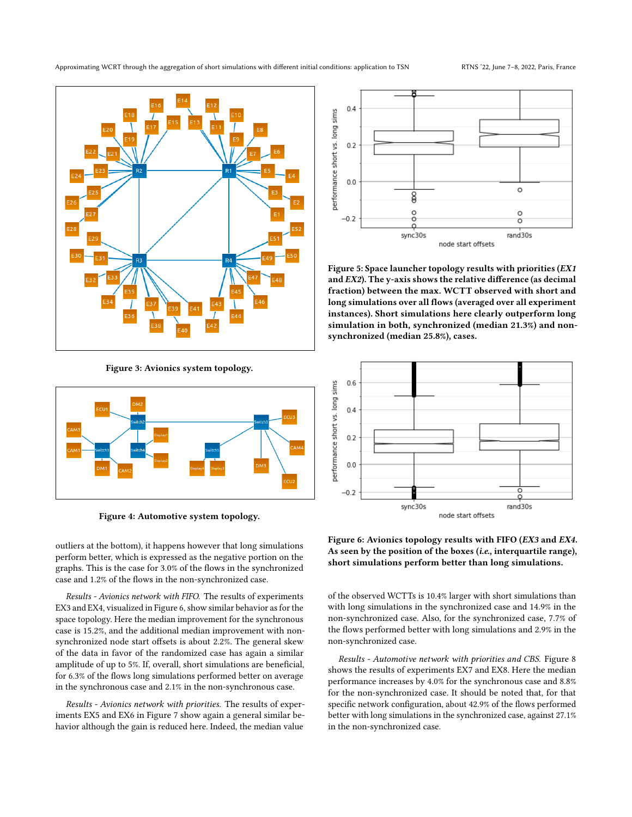<span id="page-6-1"></span>

Figure 3: Avionics system topology.

<span id="page-6-0"></span>

Figure 4: Automotive system topology.

outliers at the bottom), it happens however that long simulations perform better, which is expressed as the negative portion on the graphs. This is the case for 3.0% of the flows in the synchronized case and 1.2% of the flows in the non-synchronized case.

Results - Avionics network with FIFO. The results of experiments EX3 and EX4, visualized in Figure [6,](#page-6-3) show similar behavior as for the space topology. Here the median improvement for the synchronous case is 15.2%, and the additional median improvement with nonsynchronized node start offsets is about 2.2%. The general skew of the data in favor of the randomized case has again a similar amplitude of up to 5%. If, overall, short simulations are beneficial, for 6.3% of the flows long simulations performed better on average in the synchronous case and 2.1% in the non-synchronous case.

Results - Avionics network with priorities. The results of experiments EX5 and EX6 in Figure [7](#page-7-1) show again a general similar behavior although the gain is reduced here. Indeed, the median value

<span id="page-6-2"></span>

Figure 5: Space launcher topology results with priorities (EX1 and EX2). The y-axis shows the relative difference (as decimal fraction) between the max. WCTT observed with short and long simulations over all flows (averaged over all experiment instances). Short simulations here clearly outperform long simulation in both, synchronized (median 21.3%) and nonsynchronized (median 25.8%), cases.

<span id="page-6-3"></span>

Figure 6: Avionics topology results with FIFO (EX3 and EX4. As seen by the position of the boxes (i.e., interquartile range), short simulations perform better than long simulations.

of the observed WCTTs is 10.4% larger with short simulations than with long simulations in the synchronized case and 14.9% in the non-synchronized case. Also, for the synchronized case, 7.7% of the flows performed better with long simulations and 2.9% in the non-synchronized case.

Results - Automotive network with priorities and CBS. Figure [8](#page-7-2) shows the results of experiments EX7 and EX8. Here the median performance increases by 4.0% for the synchronous case and 8.8% for the non-synchronized case. It should be noted that, for that specific network configuration, about 42.9% of the flows performed better with long simulations in the synchronized case, against 27.1% in the non-synchronized case.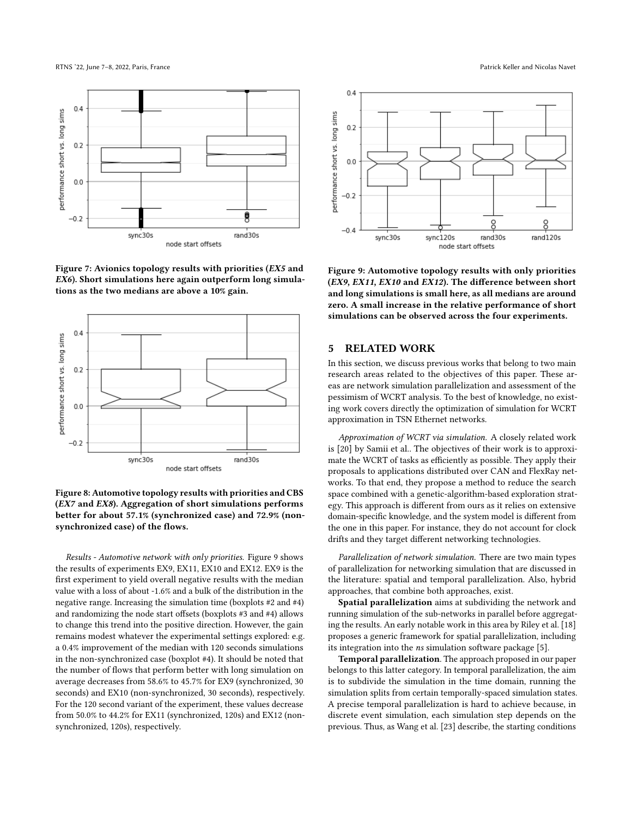<span id="page-7-1"></span>

Figure 7: Avionics topology results with priorities (EX5 and EX6). Short simulations here again outperform long simulations as the two medians are above a 10% gain.

<span id="page-7-2"></span>



Results - Automotive network with only priorities. Figure [9](#page-7-3) shows the results of experiments EX9, EX11, EX10 and EX12. EX9 is the first experiment to yield overall negative results with the median value with a loss of about -1.6% and a bulk of the distribution in the negative range. Increasing the simulation time (boxplots #2 and #4) and randomizing the node start offsets (boxplots #3 and #4) allows to change this trend into the positive direction. However, the gain remains modest whatever the experimental settings explored: e.g. a 0.4% improvement of the median with 120 seconds simulations in the non-synchronized case (boxplot #4). It should be noted that the number of flows that perform better with long simulation on average decreases from 58.6% to 45.7% for EX9 (synchronized, 30 seconds) and EX10 (non-synchronized, 30 seconds), respectively. For the 120 second variant of the experiment, these values decrease from 50.0% to 44.2% for EX11 (synchronized, 120s) and EX12 (nonsynchronized, 120s), respectively.

<span id="page-7-3"></span>

Figure 9: Automotive topology results with only priorities (EX9, EX11, EX10 and EX12). The difference between short and long simulations is small here, as all medians are around zero. A small increase in the relative performance of short simulations can be observed across the four experiments.

#### <span id="page-7-0"></span>5 RELATED WORK

In this section, we discuss previous works that belong to two main research areas related to the objectives of this paper. These areas are network simulation parallelization and assessment of the pessimism of WCRT analysis. To the best of knowledge, no existing work covers directly the optimization of simulation for WCRT approximation in TSN Ethernet networks.

Approximation of WCRT via simulation. A closely related work is [\[20\]](#page-10-10) by Samii et al.. The objectives of their work is to approximate the WCRT of tasks as efficiently as possible. They apply their proposals to applications distributed over CAN and FlexRay networks. To that end, they propose a method to reduce the search space combined with a genetic-algorithm-based exploration strategy. This approach is different from ours as it relies on extensive domain-specific knowledge, and the system model is different from the one in this paper. For instance, they do not account for clock drifts and they target different networking technologies.

Parallelization of network simulation. There are two main types of parallelization for networking simulation that are discussed in the literature: spatial and temporal parallelization. Also, hybrid approaches, that combine both approaches, exist.

Spatial parallelization aims at subdividing the network and running simulation of the sub-networks in parallel before aggregating the results. An early notable work in this area by Riley et al. [\[18\]](#page-10-11) proposes a generic framework for spatial parallelization, including its integration into the ns simulation software package [\[5\]](#page-9-5).

Temporal parallelization. The approach proposed in our paper belongs to this latter category. In temporal parallelization, the aim is to subdivide the simulation in the time domain, running the simulation splits from certain temporally-spaced simulation states. A precise temporal parallelization is hard to achieve because, in discrete event simulation, each simulation step depends on the previous. Thus, as Wang et al. [\[23\]](#page-10-12) describe, the starting conditions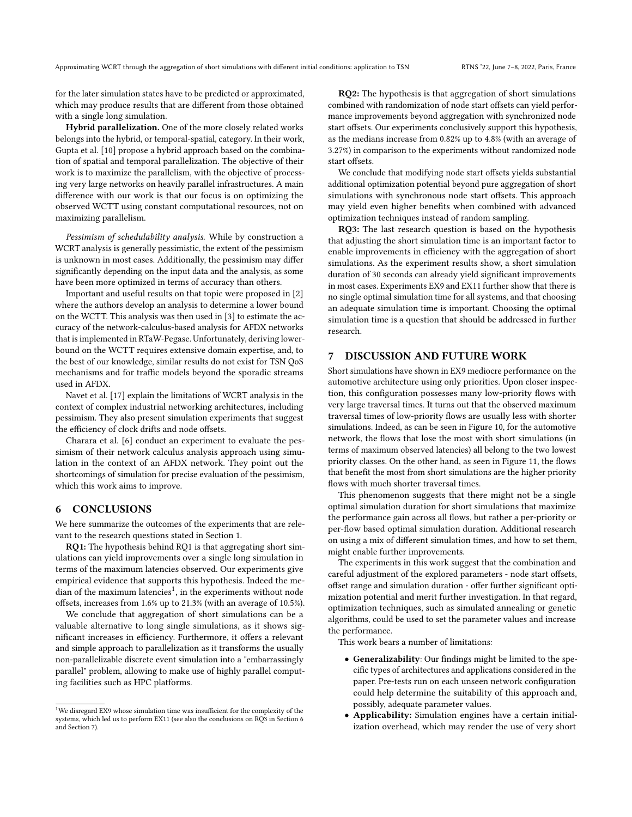for the later simulation states have to be predicted or approximated, which may produce results that are different from those obtained with a single long simulation.

Hybrid parallelization. One of the more closely related works belongs into the hybrid, or temporal-spatial, category. In their work, Gupta et al. [\[10\]](#page-10-13) propose a hybrid approach based on the combination of spatial and temporal parallelization. The objective of their work is to maximize the parallelism, with the objective of processing very large networks on heavily parallel infrastructures. A main difference with our work is that our focus is on optimizing the observed WCTT using constant computational resources, not on maximizing parallelism.

Pessimism of schedulability analysis. While by construction a WCRT analysis is generally pessimistic, the extent of the pessimism is unknown in most cases. Additionally, the pessimism may differ significantly depending on the input data and the analysis, as some have been more optimized in terms of accuracy than others.

Important and useful results on that topic were proposed in [\[2\]](#page-9-6) where the authors develop an analysis to determine a lower bound on the WCTT. This analysis was then used in [\[3\]](#page-9-1) to estimate the accuracy of the network-calculus-based analysis for AFDX networks that is implemented in RTaW-Pegase. Unfortunately, deriving lowerbound on the WCTT requires extensive domain expertise, and, to the best of our knowledge, similar results do not exist for TSN QoS mechanisms and for traffic models beyond the sporadic streams used in AFDX.

Navet et al. [\[17\]](#page-10-6) explain the limitations of WCRT analysis in the context of complex industrial networking architectures, including pessimism. They also present simulation experiments that suggest the efficiency of clock drifts and node offsets.

Charara et al. [\[6\]](#page-9-7) conduct an experiment to evaluate the pessimism of their network calculus analysis approach using simulation in the context of an AFDX network. They point out the shortcomings of simulation for precise evaluation of the pessimism, which this work aims to improve.

#### <span id="page-8-0"></span>6 CONCLUSIONS

We here summarize the outcomes of the experiments that are relevant to the research questions stated in Section [1.](#page-0-0)

RQ1: The hypothesis behind RQ1 is that aggregating short simulations can yield improvements over a single long simulation in terms of the maximum latencies observed. Our experiments give empirical evidence that supports this hypothesis. Indeed the me-dian of the maximum latencies<sup>[1](#page-8-2)</sup>, in the experiments without node offsets, increases from 1.6% up to 21.3% (with an average of 10.5%).

We conclude that aggregation of short simulations can be a valuable alternative to long single simulations, as it shows significant increases in efficiency. Furthermore, it offers a relevant and simple approach to parallelization as it transforms the usually non-parallelizable discrete event simulation into a "embarrassingly parallel" problem, allowing to make use of highly parallel computing facilities such as HPC platforms.

RQ2: The hypothesis is that aggregation of short simulations combined with randomization of node start offsets can yield performance improvements beyond aggregation with synchronized node start offsets. Our experiments conclusively support this hypothesis, as the medians increase from 0.82% up to 4.8% (with an average of 3.27%) in comparison to the experiments without randomized node start offsets.

We conclude that modifying node start offsets yields substantial additional optimization potential beyond pure aggregation of short simulations with synchronous node start offsets. This approach may yield even higher benefits when combined with advanced optimization techniques instead of random sampling.

RQ3: The last research question is based on the hypothesis that adjusting the short simulation time is an important factor to enable improvements in efficiency with the aggregation of short simulations. As the experiment results show, a short simulation duration of 30 seconds can already yield significant improvements in most cases. Experiments EX9 and EX11 further show that there is no single optimal simulation time for all systems, and that choosing an adequate simulation time is important. Choosing the optimal simulation time is a question that should be addressed in further research.

## <span id="page-8-1"></span>7 DISCUSSION AND FUTURE WORK

Short simulations have shown in EX9 mediocre performance on the automotive architecture using only priorities. Upon closer inspection, this configuration possesses many low-priority flows with very large traversal times. It turns out that the observed maximum traversal times of low-priority flows are usually less with shorter simulations. Indeed, as can be seen in Figure [10,](#page-9-8) for the automotive network, the flows that lose the most with short simulations (in terms of maximum observed latencies) all belong to the two lowest priority classes. On the other hand, as seen in Figure [11,](#page-9-9) the flows that benefit the most from short simulations are the higher priority flows with much shorter traversal times.

This phenomenon suggests that there might not be a single optimal simulation duration for short simulations that maximize the performance gain across all flows, but rather a per-priority or per-flow based optimal simulation duration. Additional research on using a mix of different simulation times, and how to set them, might enable further improvements.

The experiments in this work suggest that the combination and careful adjustment of the explored parameters - node start offsets, offset range and simulation duration - offer further significant optimization potential and merit further investigation. In that regard, optimization techniques, such as simulated annealing or genetic algorithms, could be used to set the parameter values and increase the performance.

This work bears a number of limitations:

- Generalizability: Our findings might be limited to the specific types of architectures and applications considered in the paper. Pre-tests run on each unseen network configuration could help determine the suitability of this approach and, possibly, adequate parameter values.
- Applicability: Simulation engines have a certain initialization overhead, which may render the use of very short

<span id="page-8-2"></span> $^{\rm 1}{\rm We}$  disregard EX9 whose simulation time was insufficient for the complexity of the systems, which led us to perform EX11 (see also the conclusions on RQ3 in Section [6](#page-8-0) and Section [7\)](#page-8-1).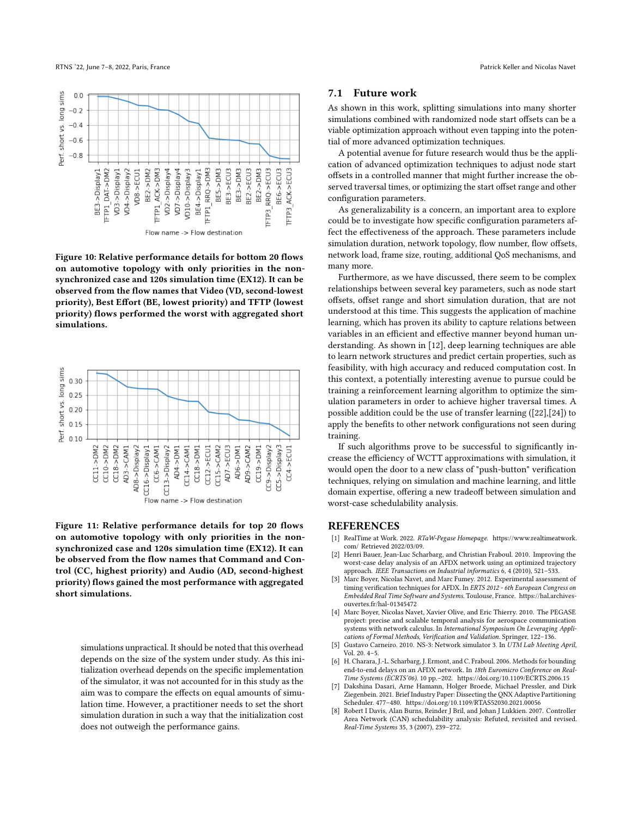<span id="page-9-8"></span>

Figure 10: Relative performance details for bottom 20 flows on automotive topology with only priorities in the nonsynchronized case and 120s simulation time (EX12). It can be observed from the flow names that Video (VD, second-lowest priority), Best Effort (BE, lowest priority) and TFTP (lowest priority) flows performed the worst with aggregated short simulations.

<span id="page-9-9"></span>

Figure 11: Relative performance details for top 20 flows on automotive topology with only priorities in the nonsynchronized case and 120s simulation time (EX12). It can be observed from the flow names that Command and Control (CC, highest priority) and Audio (AD, second-highest priority) flows gained the most performance with aggregated short simulations.

simulations unpractical. It should be noted that this overhead depends on the size of the system under study. As this initialization overhead depends on the specific implementation of the simulator, it was not accounted for in this study as the aim was to compare the effects on equal amounts of simulation time. However, a practitioner needs to set the short simulation duration in such a way that the initialization cost does not outweigh the performance gains.

#### 7.1 Future work

As shown in this work, splitting simulations into many shorter simulations combined with randomized node start offsets can be a viable optimization approach without even tapping into the potential of more advanced optimization techniques.

A potential avenue for future research would thus be the application of advanced optimization techniques to adjust node start offsets in a controlled manner that might further increase the observed traversal times, or optimizing the start offset range and other configuration parameters.

As generalizability is a concern, an important area to explore could be to investigate how specific configuration parameters affect the effectiveness of the approach. These parameters include simulation duration, network topology, flow number, flow offsets, network load, frame size, routing, additional QoS mechanisms, and many more.

Furthermore, as we have discussed, there seem to be complex relationships between several key parameters, such as node start offsets, offset range and short simulation duration, that are not understood at this time. This suggests the application of machine learning, which has proven its ability to capture relations between variables in an efficient and effective manner beyond human understanding. As shown in [\[12\]](#page-10-14), deep learning techniques are able to learn network structures and predict certain properties, such as feasibility, with high accuracy and reduced computation cost. In this context, a potentially interesting avenue to pursue could be training a reinforcement learning algorithm to optimize the simulation parameters in order to achieve higher traversal times. A possible addition could be the use of transfer learning ([\[22\]](#page-10-15),[\[24\]](#page-10-16)) to apply the benefits to other network configurations not seen during training.

If such algorithms prove to be successful to significantly increase the efficiency of WCTT approximations with simulation, it would open the door to a new class of "push-button" verification techniques, relying on simulation and machine learning, and little domain expertise, offering a new tradeoff between simulation and worst-case schedulability analysis.

#### **REFERENCES**

- <span id="page-9-3"></span>[1] RealTime at Work. 2022. RTaW-Pegase Homepage. [https://www.realtimeatwork.](https://www.realtimeatwork.com/) [com/](https://www.realtimeatwork.com/) Retrieved 2022/03/09.
- <span id="page-9-6"></span>[2] Henri Bauer, Jean-Luc Scharbarg, and Christian Fraboul. 2010. Improving the worst-case delay analysis of an AFDX network using an optimized trajectory approach. IEEE Transactions on Industrial informatics 6, 4 (2010), 521-533.
- <span id="page-9-1"></span>[3] Marc Boyer, Nicolas Navet, and Marc Fumey. 2012. Experimental assessment of timing verification techniques for AFDX. In ERTS 2012 - 6th European Congress on Embedded Real Time Software and Systems. Toulouse, France. [https://hal.archives](https://hal.archives-ouvertes.fr/hal-01345472)[ouvertes.fr/hal-01345472](https://hal.archives-ouvertes.fr/hal-01345472)
- <span id="page-9-4"></span>[4] Marc Boyer, Nicolas Navet, Xavier Olive, and Eric Thierry. 2010. The PEGASE project: precise and scalable temporal analysis for aerospace communication systems with network calculus. In International Symposium On Leveraging Applications of Formal Methods, Verification and Validation. Springer, 122–136.
- <span id="page-9-5"></span>[5] Gustavo Carneiro. 2010. NS-3: Network simulator 3. In UTM Lab Meeting April, Vol. 20. 4–5.
- <span id="page-9-7"></span>[6] H. Charara, J.-L. Scharbarg, J. Ermont, and C. Fraboul. 2006. Methods for bounding end-to-end delays on an AFDX network. In 18th Euromicro Conference on Real-Time Systems (ECRTS'06). 10 pp.–202.<https://doi.org/10.1109/ECRTS.2006.15>
- <span id="page-9-0"></span>Dakshina Dasari, Arne Hamann, Holger Broede, Michael Pressler, and Dirk Ziegenbein. 2021. Brief Industry Paper: Dissecting the QNX Adaptive Partitioning Scheduler. 477–480.<https://doi.org/10.1109/RTAS52030.2021.00056>
- <span id="page-9-2"></span>[8] Robert I Davis, Alan Burns, Reinder J Bril, and Johan J Lukkien. 2007. Controller Area Network (CAN) schedulability analysis: Refuted, revisited and revised. Real-Time Systems 35, 3 (2007), 239–272.